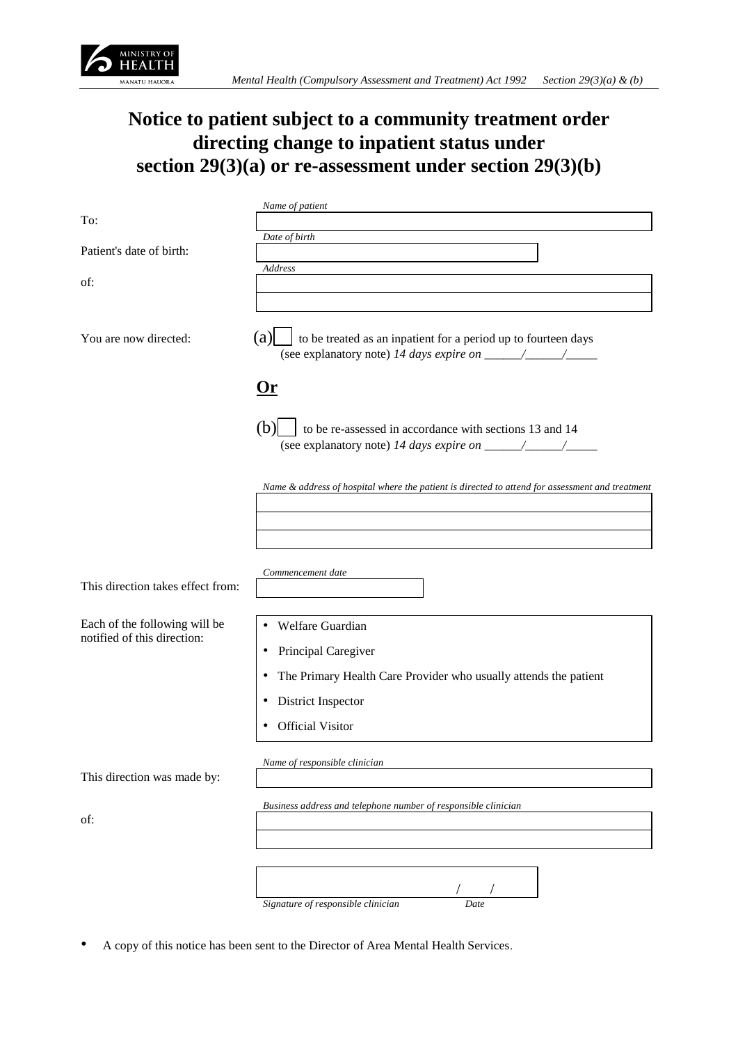

## **Notice to patient subject to a community treatment order directing change to inpatient status under section 29(3)(a) or re-assessment under section 29(3)(b)**

|                                   | Name of patient                                                                                 |
|-----------------------------------|-------------------------------------------------------------------------------------------------|
| To:                               |                                                                                                 |
|                                   |                                                                                                 |
|                                   | Date of birth                                                                                   |
| Patient's date of birth:          |                                                                                                 |
|                                   | Address                                                                                         |
| of:                               |                                                                                                 |
|                                   |                                                                                                 |
|                                   |                                                                                                 |
|                                   |                                                                                                 |
|                                   |                                                                                                 |
| You are now directed:             | (a)<br>to be treated as an inpatient for a period up to fourteen days                           |
|                                   |                                                                                                 |
|                                   |                                                                                                 |
|                                   |                                                                                                 |
|                                   |                                                                                                 |
|                                   | 0r                                                                                              |
|                                   |                                                                                                 |
|                                   |                                                                                                 |
|                                   | (b)<br>to be re-assessed in accordance with sections 13 and 14                                  |
|                                   |                                                                                                 |
|                                   |                                                                                                 |
|                                   |                                                                                                 |
|                                   |                                                                                                 |
|                                   | Name & address of hospital where the patient is directed to attend for assessment and treatment |
|                                   |                                                                                                 |
|                                   |                                                                                                 |
|                                   |                                                                                                 |
|                                   |                                                                                                 |
|                                   |                                                                                                 |
|                                   |                                                                                                 |
|                                   | Commencement date                                                                               |
| This direction takes effect from: |                                                                                                 |
|                                   |                                                                                                 |
|                                   |                                                                                                 |
| Each of the following will be     |                                                                                                 |
|                                   | Welfare Guardian                                                                                |
| notified of this direction:       |                                                                                                 |
|                                   | Principal Caregiver                                                                             |
|                                   |                                                                                                 |
|                                   | The Primary Health Care Provider who usually attends the patient                                |
|                                   |                                                                                                 |
|                                   | District Inspector<br>٠                                                                         |
|                                   |                                                                                                 |
|                                   | <b>Official Visitor</b><br>٠                                                                    |
|                                   |                                                                                                 |
|                                   |                                                                                                 |
|                                   | Name of responsible clinician                                                                   |
| This direction was made by:       |                                                                                                 |
|                                   |                                                                                                 |
|                                   |                                                                                                 |
|                                   | Business address and telephone number of responsible clinician                                  |
| of:                               |                                                                                                 |
|                                   |                                                                                                 |
|                                   |                                                                                                 |
|                                   |                                                                                                 |
|                                   |                                                                                                 |
|                                   |                                                                                                 |
|                                   |                                                                                                 |

*Signature of responsible clinician Date*

• A copy of this notice has been sent to the Director of Area Mental Health Services.